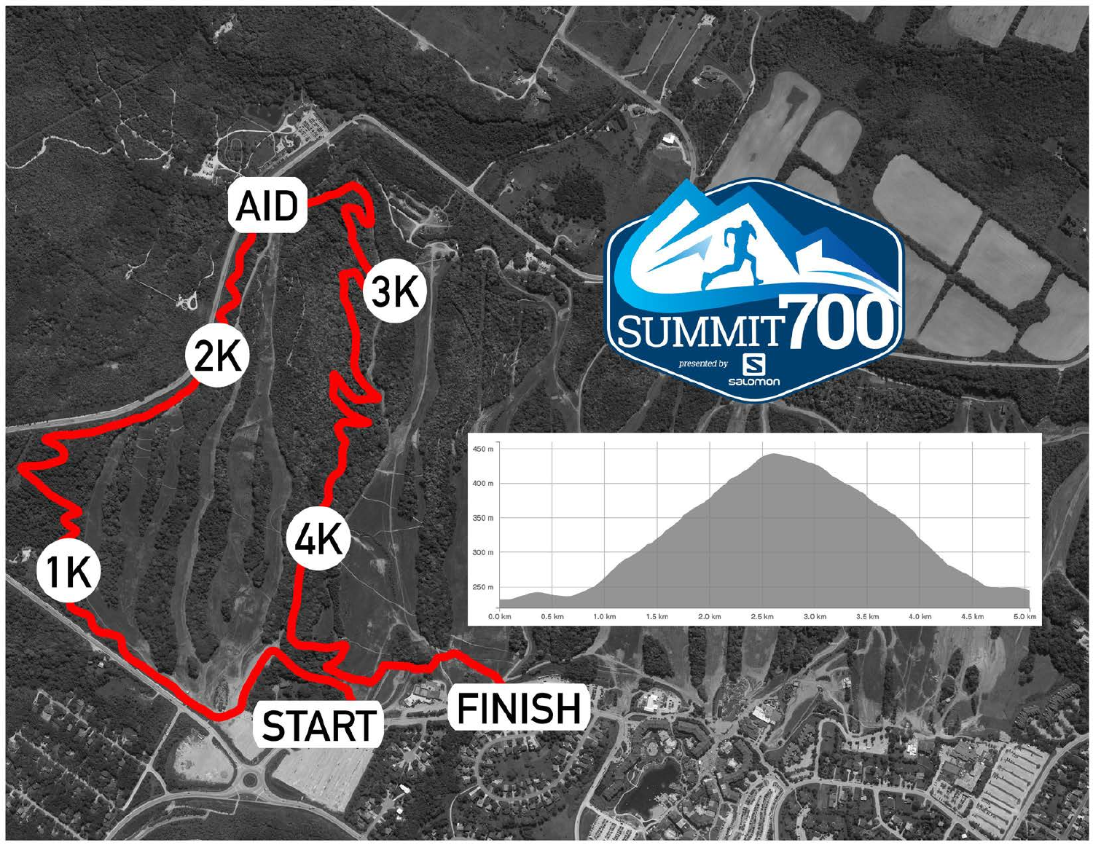